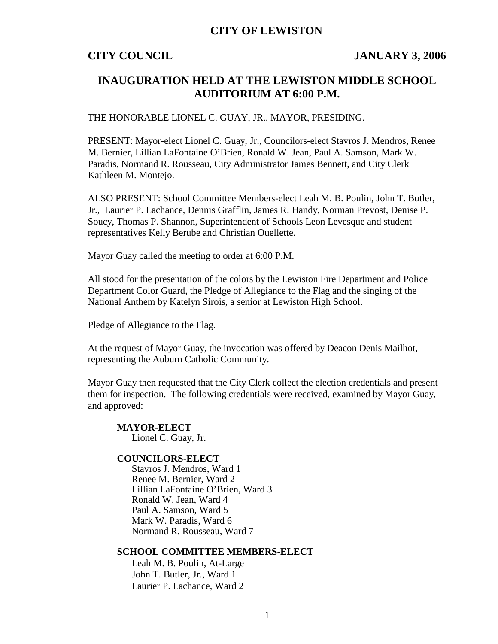## **CITY OF LEWISTON**

## **CITY COUNCIL JANUARY 3, 2006**

# **INAUGURATION HELD AT THE LEWISTON MIDDLE SCHOOL AUDITORIUM AT 6:00 P.M.**

### THE HONORABLE LIONEL C. GUAY, JR., MAYOR, PRESIDING.

PRESENT: Mayor-elect Lionel C. Guay, Jr., Councilors-elect Stavros J. Mendros, Renee M. Bernier, Lillian LaFontaine O'Brien, Ronald W. Jean, Paul A. Samson, Mark W. Paradis, Normand R. Rousseau, City Administrator James Bennett, and City Clerk Kathleen M. Montejo.

ALSO PRESENT: School Committee Members-elect Leah M. B. Poulin, John T. Butler, Jr., Laurier P. Lachance, Dennis Grafflin, James R. Handy, Norman Prevost, Denise P. Soucy, Thomas P. Shannon, Superintendent of Schools Leon Levesque and student representatives Kelly Berube and Christian Ouellette.

Mayor Guay called the meeting to order at 6:00 P.M.

All stood for the presentation of the colors by the Lewiston Fire Department and Police Department Color Guard, the Pledge of Allegiance to the Flag and the singing of the National Anthem by Katelyn Sirois, a senior at Lewiston High School.

Pledge of Allegiance to the Flag.

At the request of Mayor Guay, the invocation was offered by Deacon Denis Mailhot, representing the Auburn Catholic Community.

Mayor Guay then requested that the City Clerk collect the election credentials and present them for inspection. The following credentials were received, examined by Mayor Guay, and approved:

**MAYOR-ELECT** Lionel C. Guay, Jr.

### **COUNCILORS-ELECT**

Stavros J. Mendros, Ward 1 Renee M. Bernier, Ward 2 Lillian LaFontaine O'Brien, Ward 3 Ronald W. Jean, Ward 4 Paul A. Samson, Ward 5 Mark W. Paradis, Ward 6 Normand R. Rousseau, Ward 7

### **SCHOOL COMMITTEE MEMBERS-ELECT**

Leah M. B. Poulin, At-Large John T. Butler, Jr., Ward 1 Laurier P. Lachance, Ward 2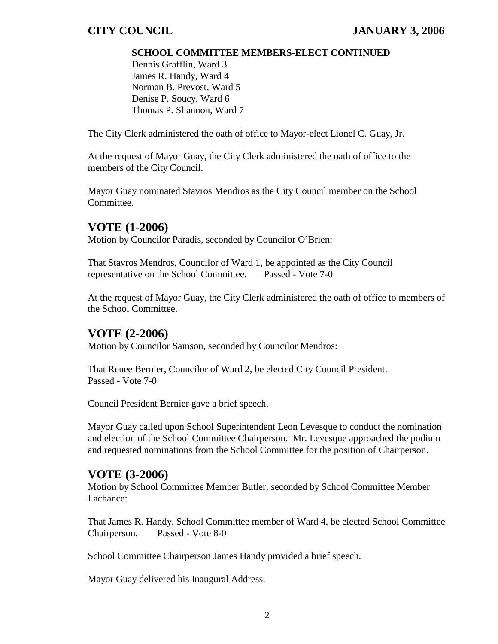## **SCHOOL COMMITTEE MEMBERS-ELECT CONTINUED**

Dennis Grafflin, Ward 3 James R. Handy, Ward 4 Norman B. Prevost, Ward 5 Denise P. Soucy, Ward 6 Thomas P. Shannon, Ward 7

The City Clerk administered the oath of office to Mayor-elect Lionel C. Guay, Jr.

At the request of Mayor Guay, the City Clerk administered the oath of office to the members of the City Council.

Mayor Guay nominated Stavros Mendros as the City Council member on the School Committee.

# **VOTE (1-2006)**

Motion by Councilor Paradis, seconded by Councilor O'Brien:

That Stavros Mendros, Councilor of Ward 1, be appointed as the City Council representative on the School Committee. Passed - Vote 7-0

At the request of Mayor Guay, the City Clerk administered the oath of office to members of the School Committee.

# **VOTE (2-2006)**

Motion by Councilor Samson, seconded by Councilor Mendros:

That Renee Bernier, Councilor of Ward 2, be elected City Council President. Passed - Vote 7-0

Council President Bernier gave a brief speech.

Mayor Guay called upon School Superintendent Leon Levesque to conduct the nomination and election of the School Committee Chairperson. Mr. Levesque approached the podium and requested nominations from the School Committee for the position of Chairperson.

# **VOTE (3-2006)**

Motion by School Committee Member Butler, seconded by School Committee Member Lachance:

That James R. Handy, School Committee member of Ward 4, be elected School Committee Chairperson. Passed - Vote 8-0

School Committee Chairperson James Handy provided a brief speech.

Mayor Guay delivered his Inaugural Address.